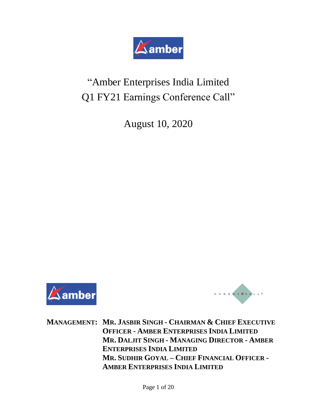

# "Amber Enterprises India Limited Q1 FY21 Earnings Conference Call"

August 10, 2020





**MANAGEMENT: MR. JASBIR SINGH - CHAIRMAN & CHIEF EXECUTIVE OFFICER - AMBER ENTERPRISES INDIA LIMITED MR. DALJIT SINGH - MANAGING DIRECTOR - AMBER ENTERPRISES INDIA LIMITED MR. SUDHIR GOYAL – CHIEF FINANCIAL OFFICER - AMBER ENTERPRISES INDIA LIMITED**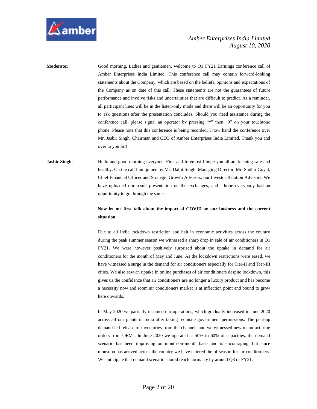

**Moderator:** Good morning, Ladies and gentlemen, welcome to Q1 FY21 Earnings conference call of Amber Enterprises India Limited. This conference call may contain forward-looking statements about the Company, which are based on the beliefs, opinions and expectations of the Company as on date of this call. These statements are not the guarantees of future performance and involve risks and uncertainties that are difficult to predict. As a reminder, all participant lines will be in the listen-only mode and there will be an opportunity for you to ask questions after the presentation concludes. Should you need assistance during the conference call, please signal an operator by pressing "\*" then "0" on your touchtone phone. Please note that this conference is being recorded. I now hand the conference over Mr. Jasbir Singh, Chairman and CEO of Amber Enterprises India Limited. Thank you and over to you Sir!

## **Jasbir Singh:** Hello and good morning everyone. First and foremost I hope you all are keeping safe and healthy. On the call I am joined by Mr. Daljit Singh, Managing Director, Mr. Sudhir Goyal, Chief Financial Officer and Strategic Growth Advisors, our Investor Relation Advisors. We have uploaded our result presentation on the exchanges, and I hope everybody had an opportunity to go through the same.

#### **Now let me first talk about the impact of COVID on our business and the current situation.**

Due to all India lockdown restriction and halt in economic activities across the country during the peak summer season we witnessed a sharp drop in sale of air conditioners in Q1 FY21. We were however positively surprised about the uptake in demand for air conditioners for the month of May and June. As the lockdown restrictions were eased, we have witnessed a surge in the demand for air conditioners especially for Tier-II and Tier-III cities. We also saw an uptake in online purchases of air conditioners despite lockdown, this gives us the confidence that air conditioners are no longer a luxury product and has become a necessity now and room air conditioners market is at inflection point and bound to grow here onwards.

In May 2020 we partially resumed our operations, which gradually increased in June 2020 across all our plants in India after taking requisite government permissions. The pent-up demand led release of inventories from the channels and we witnessed new manufacturing orders from OEMs. In June 2020 we operated at 50% to 60% of capacities, the demand scenario has been improving on month-on-month basis and is encouraging, but since monsoon has arrived across the country we have entered the offseason for air conditioners. We anticipate that demand scenario should reach normalcy by around Q3 of FY21.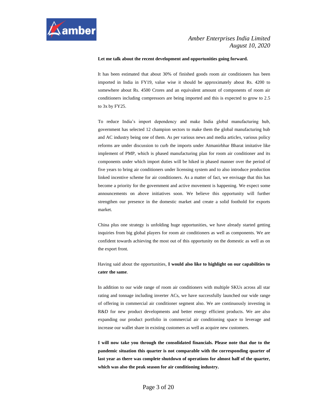#### **Let me talk about the recent development and opportunities going forward.**

It has been estimated that about 30% of finished goods room air conditioners has been imported in India in FY19, value wise it should be approximately about Rs. 4200 to somewhere about Rs. 4500 Crores and an equivalent amount of components of room air conditioners including compressors are being imported and this is expected to grow to 2.5 to 3x by FY25.

To reduce India's import dependency and make India global manufacturing hub, government has selected 12 champion sectors to make them the global manufacturing hub and AC industry being one of them. As per various news and media articles, various policy reforms are under discussion to curb the imports under Atmanirbhar Bharat imitative like implement of PMP, which is phased manufacturing plan for room air conditioner and its components under which import duties will be hiked in phased manner over the period of five years to bring air conditioners under licensing system and to also introduce production linked incentive scheme for air conditioners. As a matter of fact, we envisage that this has become a priority for the government and active movement is happening. We expect some announcements on above initiatives soon. We believe this opportunity will further strengthen our presence in the domestic market and create a solid foothold for exports market.

China plus one strategy is unfolding huge opportunities, we have already started getting inquiries from big global players for room air conditioners as well as components. We are confident towards achieving the most out of this opportunity on the domestic as well as on the export front.

Having said about the opportunities, **I would also like to highlight on our capabilities to cater the same**.

In addition to our wide range of room air conditioners with multiple SKUs across all star rating and tonnage including inverter ACs, we have successfully launched our wide range of offering in commercial air conditioner segment also. We are continuously investing in R&D for new product developments and better energy efficient products. We are also expanding our product portfolio in commercial air conditioning space to leverage and increase our wallet share in existing customers as well as acquire new customers.

**I will now take you through the consolidated financials. Please note that due to the pandemic situation this quarter is not comparable with the corresponding quarter of last year as there was complete shutdown of operations for almost half of the quarter, which was also the peak season for air conditioning industry.**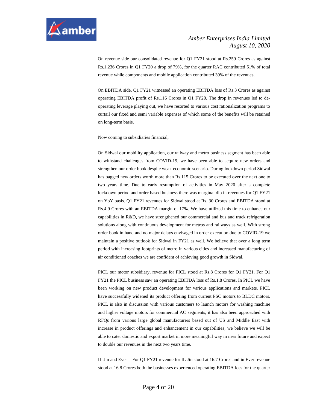

On revenue side our consolidated revenue for Q1 FY21 stood at Rs.259 Crores as against Rs.1,236 Crores in Q1 FY20 a drop of 79%, for the quarter RAC contributed 61% of total revenue while components and mobile application contributed 39% of the revenues.

On EBITDA side, Q1 FY21 witnessed an operating EBITDA loss of Rs.3 Crores as against operating EBITDA profit of Rs.116 Crores in Q1 FY20. The drop in revenues led to deoperating leverage playing out, we have resorted to various cost rationalization programs to curtail our fixed and semi variable expenses of which some of the benefits will be retained on long-term basis.

Now coming to subsidiaries financial,

On Sidwal our mobility application, our railway and metro business segment has been able to withstand challenges from COVID-19, we have been able to acquire new orders and strengthen our order book despite weak economic scenario. During lockdown period Sidwal has bagged new orders worth more than Rs.115 Crores to be executed over the next one to two years time. Due to early resumption of activities in May 2020 after a complete lockdown period and order based business there was marginal dip in revenues for Q1 FY21 on YoY basis. Q1 FY21 revenues for Sidwal stood at Rs. 30 Crores and EBITDA stood at Rs.4.9 Crores with an EBITDA margin of 17%. We have utilized this time to enhance our capabilities in R&D, we have strengthened our commercial and bus and truck refrigeration solutions along with continuous development for metros and railways as well. With strong order book in hand and no major delays envisaged in order execution due to COVID-19 we maintain a positive outlook for Sidwal in FY21 as well. We believe that over a long term period with increasing footprints of metro in various cities and increased manufacturing of air conditioned coaches we are confident of achieving good growth in Sidwal.

PICL our motor subsidiary, revenue for PICL stood at Rs.8 Crores for Q1 FY21. For Q1 FY21 the PICL business saw an operating EBITDA loss of Rs.1.8 Crores. In PICL we have been working on new product development for various applications and markets. PICL have successfully widened its product offering from current PSC motors to BLDC motors. PICL is also in discussion with various customers to launch motors for washing machine and higher voltage motors for commercial AC segments, it has also been approached with RFQs from various large global manufacturers based out of US and Middle East with increase in product offerings and enhancement in our capabilities, we believe we will be able to cater domestic and export market in more meaningful way in near future and expect to double our revenues in the next two years time.

IL Jin and Ever - For Q1 FY21 revenue for IL Jin stood at 16.7 Crores and in Ever revenue stood at 16.8 Crores both the businesses experienced operating EBITDA loss for the quarter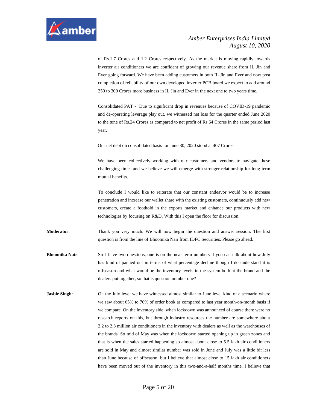

of Rs.1.7 Crores and 1.2 Crores respectively. As the market is moving rapidly towards inverter air conditioners we are confident of growing our revenue share from IL Jin and Ever going forward. We have been adding customers in both IL Jin and Ever and now post completion of reliability of our own developed inverter PCB board we expect to add around 250 to 300 Crores more business in IL Jin and Ever in the next one to two years time.

Consolidated PAT - Due to significant drop in revenues because of COVID-19 pandemic and de-operating leverage play out, we witnessed net loss for the quarter ended June 2020 to the tune of Rs.24 Crores as compared to net profit of Rs.64 Crores in the same period last year.

Our net debt on consolidated basis for June 30, 2020 stood at 407 Crores.

We have been collectively working with our customers and vendors to navigate these challenging times and we believe we will emerge with stronger relationship for long-term mutual benefits.

To conclude I would like to reiterate that our constant endeavor would be to increase penetration and increase our wallet share with the existing customers, continuously add new customers, create a foothold in the exports market and enhance our products with new technologies by focusing on R&D. With this I open the floor for discussion.

**Moderator**: Thank you very much. We will now begin the question and answer session. The first question is from the line of Bhoomika Nair from IDFC Securities. Please go ahead.

- **Bhoomika Nair:** Sir I have two questions, one is on the near-term numbers if you can talk about how July has kind of panned out in terms of what percentage decline though I do understand it is offseason and what would be the inventory levels in the system both at the brand and the dealers put together, so that is question number one?
- **Jasbir Singh**: On the July level we have witnessed almost similar to June level kind of a scenario where we saw about 65% to 70% of order book as compared to last year month-on-month basis if we compare. On the inventory side, when lockdown was announced of course there were no research reports on this, but through industry resources the number are somewhere about 2.2 to 2.3 million air conditioners in the inventory with dealers as well as the warehouses of the brands. So mid of May was when the lockdown started opening up in green zones and that is when the sales started happening so almost about close to 5.5 lakh air conditioners are sold in May and almost similar number was sold in June and July was a little bit less than June because of offseason, but I believe that almost close to 15 lakh air conditioners have been moved out of the inventory in this two-and-a-half months time. I believe that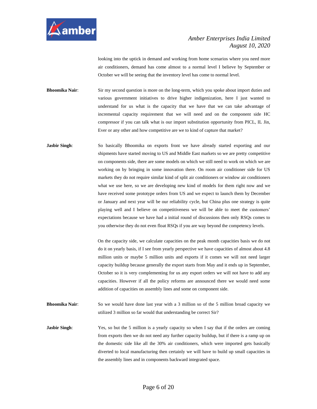

looking into the uptick in demand and working from home scenarios where you need more air conditioners, demand has come almost to a normal level I believe by September or October we will be seeing that the inventory level has come to normal level.

**Bhoomika Nair**: Sir my second question is more on the long-term, which you spoke about import duties and various government initiatives to drive higher indigenization, here I just wanted to understand for us what is the capacity that we have that we can take advantage of incremental capacity requirement that we will need and on the component side HC compressor if you can talk what is our import substitution opportunity from PICL, IL Jin, Ever or any other and how competitive are we to kind of capture that market?

**Jasbir Singh**: So basically Bhoomika on exports front we have already started exporting and our shipments have started moving to US and Middle East markets so we are pretty competitive on components side, there are some models on which we still need to work on which we are working on by bringing in some innovation there. On room air conditioner side for US markets they do not require similar kind of split air conditioners or window air conditioners what we use here, so we are developing new kind of models for them right now and we have received some prototype orders from US and we expect to launch them by December or January and next year will be our reliability cycle, but China plus one strategy is quite playing well and I believe on competitiveness we will be able to meet the customers' expectations because we have had a initial round of discussions then only RSQs comes to you otherwise they do not even float RSQs if you are way beyond the competency levels.

> On the capacity side, we calculate capacities on the peak month capacities basis we do not do it on yearly basis, if I see from yearly perspective we have capacities of almost about 4.8 million units or maybe 5 million units and exports if it comes we will not need larger capacity buildup because generally the export starts from May and it ends up in September, October so it is very complementing for us any export orders we will not have to add any capacities. However if all the policy reforms are announced there we would need some addition of capacities on assembly lines and some on component side.

**Bhoomika Nair:** So we would have done last year with a 3 million so of the 5 million broad capacity we utilized 3 million so far would that understanding be correct Sir?

**Jasbir Singh:** Yes, so but the 5 million is a yearly capacity so when I say that if the orders are coming from exports then we do not need any further capacity buildup, but if there is a ramp up on the domestic side like all the 30% air conditioners, which were imported gets basically diverted to local manufacturing then certainly we will have to build up small capacities in the assembly lines and in components backward integrated space.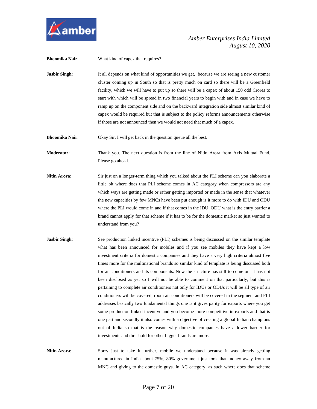

**Bhoomika Nair:** What kind of capex that requires?

**Jasbir Singh:** It all depends on what kind of opportunities we get, because we are seeing a new customer cluster coming up in South so that is pretty much on card so there will be a Greenfield facility, which we will have to put up so there will be a capex of about 150 odd Crores to start with which will be spread in two financial years to begin with and in case we have to ramp up on the component side and on the backward integration side almost similar kind of capex would be required but that is subject to the policy reforms announcements otherwise if those are not announced then we would not need that much of a capex.

**Bhoomika Nair:** Okay Sir, I will get back in the question queue all the best.

**Moderator**: Thank you. The next question is from the line of Nitin Arora from Axis Mutual Fund. Please go ahead.

- **Nitin Arora**: Sir just on a longer-term thing which you talked about the PLI scheme can you elaborate a little bit where does that PLI scheme comes in AC category when compressors are any which ways are getting made or rather getting imported or made in the sense that whatever the new capacities by few MNCs have been put enough is it more to do with IDU and ODU where the PLI would come in and if that comes in the IDU, ODU what is the entry barrier a brand cannot apply for that scheme if it has to be for the domestic market so just wanted to understand from you?
- **Jasbir Singh:** See production linked incentive (PLI) schemes is being discussed on the similar template what has been announced for mobiles and if you see mobiles they have kept a low investment criteria for domestic companies and they have a very high criteria almost five times more for the multinational brands so similar kind of template is being discussed both for air conditioners and its components. Now the structure has still to come out it has not been disclosed as yet so I will not be able to comment on that particularly, but this is pertaining to complete air conditioners not only for IDUs or ODUs it will be all type of air conditioners will be covered, room air conditioners will be covered in the segment and PLI addresses basically two fundamental things one is it gives parity for exports where you get some production linked incentive and you become more competitive in exports and that is one part and secondly it also comes with a objective of creating a global Indian champions out of India so that is the reason why domestic companies have a lower barrier for investments and threshold for other bigger brands are more.
- **Nitin Arora**: Sorry just to take it further, mobile we understand because it was already getting manufactured in India about 75%, 80% government just took that money away from an MNC and giving to the domestic guys. In AC category, as such where does that scheme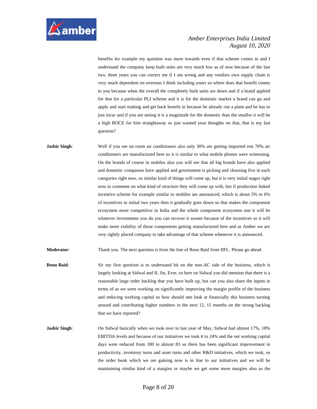

benefits for example my question was more towards even if that scheme comes in and I understand the company keep built units are very much low as of now because of the last two, three years you can correct me if I am wrong and any vendors own supply chain is very much dependent on overseas I think including yours so where does that benefit comes to you because when the overall the completely built units are down and if a brand applied for that for a particular PLI scheme and it is for the domestic market a brand can go and apply and start making and get back benefit in because he already run a plant and he has to just incur and if you are seeing it is a magnitude for the domestic than the smaller it will be a high ROCE for him straightaway so just wanted your thoughts on that, that is my last question?

**Jasbir Singh**: Well if you see on room air conditioners also only 30% are getting imported rest 70% air conditioners are manufactured here so it is similar to what mobile phones were witnessing. On the brands of course in mobiles also you will see that all big brands have also applied and domestic companies have applied and government is picking and choosing five in each categories right now, so similar kind of things will come up, but it is very initial stages right now to comment on what kind of structure they will come up with, but if production linked incentive scheme for example similar to mobiles are announced, which is about 5% to 6% of incentives in initial two years then it gradually goes down so that makes the component ecosystem more competitive in India and the whole component ecosystem one it will be whatever investments you do you can recover it sooner because of the incentives so it will make more viability of those components getting manufactured here and as Amber we are very rightly placed company to take advantage of that scheme whenever it is announced.

**Moderator**: Thank you. The next question is from the line of Renu Baid from IIFL. Please go ahead.

- **Renu Baid:** Sir my first question is to understand bit on the non-AC side of the business, which is largely looking at Sidwal and IL Jin, Ever, so here on Sidwal you did mention that there is a reasonable large order backlog that you have built up, but can you also share the inputs in terms of as we were working on significantly improving the margin profile of the business and reducing working capital so how should one look at financially this business turning around and contributing higher numbers in the next 12, 15 months on the strong backlog that we have reported?
- **Jasbir Singh**: On Sidwal basically when we took over in last year of May, Sidwal had almost 17%, 18% EBITDA levels and because of our initiatives we took it to 24% and the net working capital days were reduced from 180 to almost 83 so there has been significant improvement in productivity, inventory turns and asset turns and other R&D initiatives, which we took, so the order book which we are gaining now is in line to our initiatives and we will be maintaining similar kind of a margins or maybe we get some more margins also as the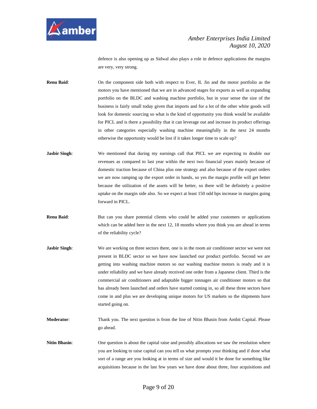

defence is also opening up as Sidwal also plays a role in defence applications the margins are very, very strong.

**Renu Baid**: On the component side both with respect to Ever, IL Jin and the motor portfolio as the motors you have mentioned that we are in advanced stages for exports as well as expanding portfolio on the BLDC and washing machine portfolio, but in your sense the size of the business is fairly small today given that imports and for a lot of the other white goods will look for domestic sourcing so what is the kind of opportunity you think would be available for PICL and is there a possibility that it can leverage out and increase its product offerings in other categories especially washing machine meaningfully in the next 24 months otherwise the opportunity would be lost if it takes longer time to scale up?

- **Jasbir Singh:** We mentioned that during my earnings call that PICL we are expecting to double our revenues as compared to last year within the next two financial years mainly because of domestic traction because of China plus one strategy and also because of the export orders we are now ramping up the export order in hands, so yes the margin profile will get better because the utilization of the assets will be better, so there will be definitely a positive uptake on the margin side also. So we expect at least 150 odd bps increase in margins going forward in PICL.
- **Renu Baid:** But can you share potential clients who could be added your customers or applications which can be added here in the next 12, 18 months where you think you are ahead in terms of the reliability cycle?
- **Jasbir Singh:** We are working on three sectors there, one is in the room air conditioner sector we were not present in BLDC sector so we have now launched our product portfolio. Second we are getting into washing machine motors so our washing machine motors is ready and it is under reliability and we have already received one order from a Japanese client. Third is the commercial air conditioners and adaptable bigger tonnages air conditioner motors so that has already been launched and orders have started coming in, so all these three sectors have come in and plus we are developing unique motors for US markets so the shipments have started going on.
- **Moderator**: Thank you. The next question is from the line of Nitin Bhasin from Ambit Capital. Please go ahead.
- **Nitin Bhasin:** One question is about the capital raise and possibly allocations we saw the resolution where you are looking to raise capital can you tell us what prompts your thinking and if done what sort of a range are you looking at in terms of size and would it be done for something like acquisitions because in the last few years we have done about three, four acquisitions and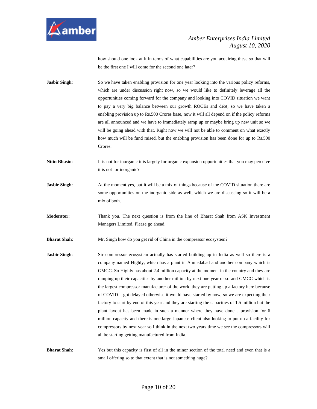

how should one look at it in terms of what capabilities are you acquiring these so that will be the first one I will come for the second one later?

**Jasbir Singh:** So we have taken enabling provision for one year looking into the various policy reforms, which are under discussion right now, so we would like to definitely leverage all the opportunities coming forward for the company and looking into COVID situation we want to pay a very big balance between our growth ROCEs and debt, so we have taken a enabling provision up to Rs.500 Crores base, now it will all depend on if the policy reforms are all announced and we have to immediately ramp up or maybe bring up new unit so we will be going ahead with that. Right now we will not be able to comment on what exactly how much will be fund raised, but the enabling provision has been done for up to Rs.500 Crores.

**Nitin Bhasin:** It is not for inorganic it is largely for organic expansion opportunities that you may perceive it is not for inorganic?

**Jasbir Singh:** At the moment yes, but it will be a mix of things because of the COVID situation there are some opportunities on the inorganic side as well, which we are discussing so it will be a mix of both.

**Moderator**: Thank you. The next question is from the line of Bharat Shah from ASK Investment Managers Limited. Please go ahead.

**Bharat Shah**: Mr. Singh how do you get rid of China in the compressor ecosystem?

**Jasbir Singh:** Sir compressor ecosystem actually has started building up in India as well so there is a company named Highly, which has a plant in Ahmedabad and another company which is GMCC. So Highly has about 2.4 million capacity at the moment in the country and they are ramping up their capacities by another million by next one year or so and GMCC which is the largest compressor manufacturer of the world they are putting up a factory here because of COVID it got delayed otherwise it would have started by now, so we are expecting their factory to start by end of this year and they are starting the capacities of 1.5 million but the plant layout has been made in such a manner where they have done a provision for 6 million capacity and there is one large Japanese client also looking to put up a facility for compressors by next year so I think in the next two years time we see the compressors will all be starting getting manufactured from India.

**Bharat Shah**: Yes but this capacity is first of all in the minor section of the total need and even that is a small offering so to that extent that is not something huge?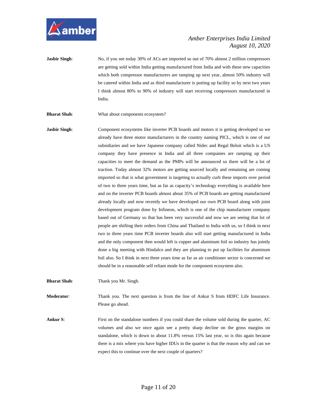

**Jasbir Singh:** No, if you see today 30% of ACs are imported so out of 70% almost 2 million compressors are getting sold within India getting manufactured from India and with these new capacities which both compressor manufacturers are ramping up next year, almost 50% industry will be catered within India and as third manufacturer is putting up facility so by next two years I think almost 80% to 90% of industry will start receiving compressors manufactured in India.

**Bharat Shah**: What about components ecosystem?

**Jasbir Singh:** Component ecosystems like inverter PCB boards and motors it is getting developed so we already have three motor manufacturers in the country naming PICL, which is one of our subsidiaries and we have Japanese company called Nidec and Regal Beloit which is a US company they have presence in India and all three companies are ramping up their capacities to meet the demand as the PMPs will be announced so there will be a lot of traction. Today almost 32% motors are getting sourced locally and remaining are coming imported so that is what government is targeting to actually curb these imports over period of two to three years time, but as far as capacity's technology everything is available here and on the inverter PCB boards almost about 35% of PCB boards are getting manufactured already locally and now recently we have developed our own PCB board along with joint development program done by Infineon, which is one of the chip manufacturer company based out of Germany so that has been very successful and now we are seeing that lot of people are shifting their orders from China and Thailand to India with us, so I think in next two to three years time PCB inverter boards also will start getting manufactured in India and the only component then would left is copper and aluminum foil so industry has jointly done a big meeting with Hindalco and they are planning to put up facilities for aluminum foil also. So I think in next three years time as far as air conditioner sector is concerned we should be in a reasonable self reliant mode for the component ecosystem also.

**Bharat Shah**: Thank you Mr. Singh.

**Moderator:** Thank you. The next question is from the line of Ankur S from HDFC Life Insurance. Please go ahead.

**Ankur S:** First on the standalone numbers if you could share the volume sold during the quarter, AC volumes and also we once again see a pretty sharp decline on the gross margins on standalone, which is down to about 11.8% versus 15% last year, so is this again because there is a mix where you have higher IDUs in the quarter is that the reason why and can we expect this to continue over the next couple of quarters?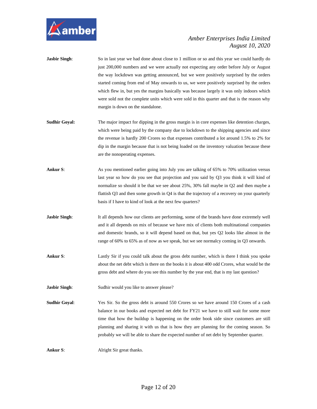

| Jasbir Singh: | So in last year we had done about close to 1 million or so and this year we could hardly do |
|---------------|---------------------------------------------------------------------------------------------|
|               | just 200,000 numbers and we were actually not expecting any order before July or August     |
|               | the way lockdown was getting announced, but we were positively surprised by the orders      |
|               | started coming from end of May onwards to us, we were positively surprised by the orders    |
|               | which flew in, but yes the margins basically was because largely it was only indoors which  |
|               | were sold not the complete units which were sold in this quarter and that is the reason why |
|               | margin is down on the standalone.                                                           |
|               |                                                                                             |

- **Sudhir Goyal:** The major impact for dipping in the gross margin is in core expenses like detention charges, which were being paid by the company due to lockdown to the shipping agencies and since the revenue is hardly 200 Crores so that expenses contributed a lot around 1.5% to 2% for dip in the margin because that is not being loaded on the inventory valuation because these are the nonoperating expenses.
- **Ankur S**: As you mentioned earlier going into July you are talking of 65% to 70% utilization versus last year so how do you see that projection and you said by Q3 you think it will kind of normalize so should it be that we see about 25%, 30% fall maybe in Q2 and then maybe a flattish Q3 and then some growth in Q4 is that the trajectory of a recovery on your quarterly basis if I have to kind of look at the next few quarters?
- **Jasbir Singh:** It all depends how our clients are performing, some of the brands have done extremely well and it all depends on mix of because we have mix of clients both multinational companies and domestic brands, so it will depend based on that, but yes Q2 looks like almost in the range of 60% to 65% as of now as we speak, but we see normalcy coming in Q3 onwards.
- **Ankur S**: Lastly Sir if you could talk about the gross debt number, which is there I think you spoke about the net debt which is there on the books it is about 400 odd Crores, what would be the gross debt and where do you see this number by the year end, that is my last question?

**Jasbir Singh:** Sudhir would you like to answer please?

**Sudhir Goyal**: Yes Sir. So the gross debt is around 550 Crores so we have around 150 Crores of a cash balance in our books and expected net debt for FY21 we have to still wait for some more time that how the buildup is happening on the order book side since customers are still planning and sharing it with us that is how they are planning for the coming season. So probably we will be able to share the expected number of net debt by September quarter.

**Ankur S:** Alright Sir great thanks.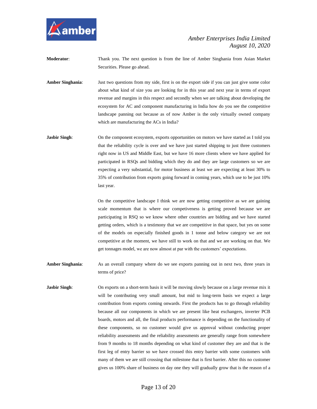

**Moderator**: Thank you. The next question is from the line of Amber Singhania from Asian Market Securities. Please go ahead.

**Amber Singhania**: Just two questions from my side, first is on the export side if you can just give some color about what kind of size you are looking for in this year and next year in terms of export revenue and margins in this respect and secondly when we are talking about developing the ecosystem for AC and component manufacturing in India how do you see the competitive landscape panning out because as of now Amber is the only virtually owned company which are manufacturing the ACs in India?

**Jasbir Singh**: On the component ecosystem, exports opportunities on motors we have started as I told you that the reliability cycle is over and we have just started shipping to just three customers right now in US and Middle East, but we have 16 more clients where we have applied for participated in RSQs and bidding which they do and they are large customers so we are expecting a very substantial, for motor business at least we are expecting at least 30% to 35% of contribution from exports going forward in coming years, which use to be just 10% last year.

> On the competitive landscape I think we are now getting competitive as we are gaining scale momentum that is where our competiveness is getting proved because we are participating in RSQ so we know where other countries are bidding and we have started getting orders, which is a testimony that we are competitive in that space, but yes on some of the models on especially finished goods in 1 tonne and below category we are not competitive at the moment, we have still to work on that and we are working on that. We get tonnages model, we are now almost at par with the customers' expectations.

**Amber Singhania**: As an overall company where do we see exports panning out in next two, three years in terms of price?

**Jasbir Singh:** On exports on a short-term basis it will be moving slowly because on a large revenue mix it will be contributing very small amount, but mid to long-term basis we expect a large contribution from exports coming onwards. First the products has to go through reliability because all our components in which we are present like heat exchangers, inverter PCB boards, motors and all, the final products performance is depending on the functionality of these components, so no customer would give us approval without conducting proper reliability assessments and the reliability assessments are generally range from somewhere from 9 months to 18 months depending on what kind of customer they are and that is the first leg of entry barrier so we have crossed this entry barrier with some customers with many of them we are still crossing that milestone that is first barrier. After this no customer gives us 100% share of business on day one they will gradually grow that is the reason of a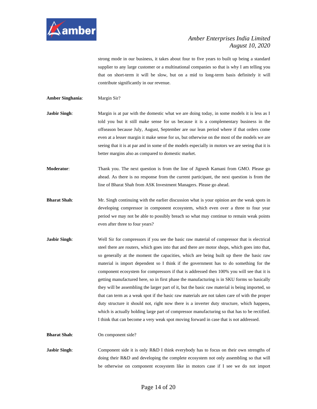

strong mode in our business, it takes about four to five years to built up being a standard supplier to any large customer or a multinational companies so that is why I am telling you that on short-term it will be slow, but on a mid to long-term basis definitely it will contribute significantly in our revenue.

- **Amber Singhania**: Margin Sir?
- **Jasbir Singh:** Margin is at par with the domestic what we are doing today, in some models it is less as I told you but it still make sense for us because it is a complementary business in the offseason because July, August, September are our lean period where if that orders come even at a lesser margin it make sense for us, but otherwise on the most of the models we are seeing that it is at par and in some of the models especially in motors we are seeing that it is better margins also as compared to domestic market.
- **Moderator:** Thank you. The next question is from the line of Jignesh Kamani from GMO. Please go ahead. As there is no response from the current participant, the next question is from the line of Bharat Shah from ASK Investment Managers. Please go ahead.
- **Bharat Shah**: Mr. Singh continuing with the earlier discussion what is your opinion are the weak spots in developing compressor in component ecosystem, which even over a three to four year period we may not be able to possibly breach so what may continue to remain weak points even after three to four years?
- **Jasbir Singh:** Well Sir for compressors if you see the basic raw material of compressor that is electrical steel there are routers, which goes into that and there are motor shops, which goes into that, so generally at the moment the capacities, which are being built up there the basic raw material is import dependent so I think if the government has to do something for the component ecosystem for compressors if that is addressed then 100% you will see that it is getting manufactured here, so in first phase the manufacturing is in SKU forms so basically they will be assembling the larger part of it, but the basic raw material is being imported, so that can term as a weak spot if the basic raw materials are not taken care of with the proper duty structure it should not, right now there is a inverter duty structure, which happens, which is actually holding large part of compressor manufacturing so that has to be rectified. I think that can become a very weak spot moving forward in case that is not addressed.

**Bharat Shah:** On component side?

**Jasbir Singh:** Component side it is only R&D I think everybody has to focus on their own strengths of doing their R&D and developing the complete ecosystem not only assembling so that will be otherwise on component ecosystem like in motors case if I see we do not import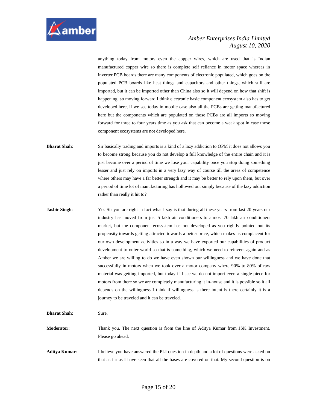

anything today from motors even the copper wires, which are used that is Indian manufactured copper wire so there is complete self reliance in motor space whereas in inverter PCB boards there are many components of electronic populated, which goes on the populated PCB boards like heat things and capacitors and other things, which still are imported, but it can be imported other than China also so it will depend on how that shift is happening, so moving forward I think electronic basic component ecosystem also has to get developed here, if we see today in mobile case also all the PCBs are getting manufactured here but the components which are populated on those PCBs are all imports so moving forward for three to four years time as you ask that can become a weak spot in case those component ecosystems are not developed here.

**Bharat Shah**: Sir basically trading and imports is a kind of a lazy addiction to OPM it does not allows you to become strong because you do not develop a full knowledge of the entire chain and it is just become over a period of time we lose your capability once you stop doing something lesser and just rely on imports in a very lazy way of course till the areas of competence where others may have a far better strength and it may be better to rely upon them, but over a period of time lot of manufacturing has hollowed out simply because of the lazy addiction rather than really it hit to?

**Jasbir Singh:** Yes Sir you are right in fact what I say is that during all these years from last 20 years our industry has moved from just 5 lakh air conditioners to almost 70 lakh air conditioners market, but the component ecosystem has not developed as you rightly pointed out its propensity towards getting attracted towards a better price, which makes us complacent for our own development activities so in a way we have exported our capabilities of product development to outer world so that is something, which we need to reinvent again and as Amber we are willing to do we have even shown our willingness and we have done that successfully in motors when we took over a motor company where 90% to 80% of raw material was getting imported, but today if I see we do not import even a single piece for motors from there so we are completely manufacturing it in-house and it is possible so it all depends on the willingness I think if willingness is there intent is there certainly it is a journey to be traveled and it can be traveled.

**Bharat Shah**: Sure.

**Moderator:** Thank you. The next question is from the line of Aditya Kumar from JSK Investment. Please go ahead.

**Aditya Kumar**: I believe you have answered the PLI question in depth and a lot of questions were asked on that as far as I have seen that all the bases are covered on that. My second question is on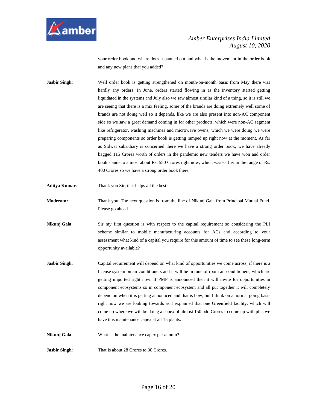

your order book and where does it panned out and what is the movement in the order book and any new plans that you added?

- **Jasbir Singh**: Well order book is getting strengthened on month-on-month basis from May there was hardly any orders. In June, orders started flowing in as the inventory started getting liquidated in the systems and July also we saw almost similar kind of a thing, so it is still we are seeing that there is a mix feeling, some of the brands are doing extremely well some of brands are not doing well so it depends, like we are also present into non-AC component side so we saw a great demand coming in for other products, which were non-AC segment like refrigerator, washing machines and microwave ovens, which we were doing we were preparing components so order book is getting ramped up right now at the moment. As far as Sidwal subsidiary is concerned there we have a strong order book, we have already bagged 115 Crores worth of orders in the pandemic new tenders we have won and order book stands to almost about Rs. 550 Crores right now, which was earlier in the range of Rs. 400 Crores so we have a strong order book there.
- **Aditya Kumar**: Thank you Sir, that helps all the best.
- **Moderator**: Thank you. The next question is from the line of Nikunj Gala from Principal Mutual Fund. Please go ahead.
- **Nikunj Gala**: Sir my first question is with respect to the capital requirement so considering the PLI scheme similar to mobile manufacturing accounts for ACs and according to your assessment what kind of a capital you require for this amount of time to see these long-term opportunity available?
- **Jasbir Singh:** Capital requirement will depend on what kind of opportunities we come across, if there is a license system on air conditioners and it will be in tune of room air conditioners, which are getting imported right now. If PMP is announced then it will invite for opportunities in component ecosystems so in component ecosystem and all put together it will completely depend on when it is getting announced and that is how, but I think on a normal going basis right now we are looking towards as I explained that one Greenfield facility, which will come up where we will be doing a capex of almost 150 odd Crores to come up with plus we have this maintenance capex at all 15 plants.

**Nikunj Gala:** What is the maintenance capex per annum?

**Jasbir Singh:** That is about 28 Crores to 30 Crores.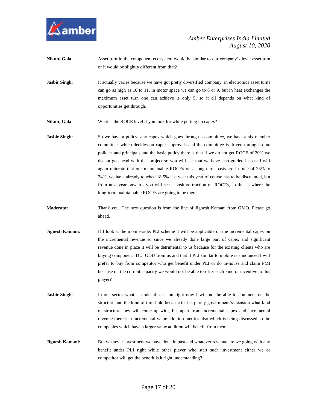

| Nikunj Gala:         | Asset turn in the component ecosystem would be similar to our company's level asset turn<br>or it would be slightly different from that?                                                                                                                                                                                                                                                                                                                                                                                                                                                                                                                                                                        |
|----------------------|-----------------------------------------------------------------------------------------------------------------------------------------------------------------------------------------------------------------------------------------------------------------------------------------------------------------------------------------------------------------------------------------------------------------------------------------------------------------------------------------------------------------------------------------------------------------------------------------------------------------------------------------------------------------------------------------------------------------|
| <b>Jasbir Singh:</b> | It actually varies because we have got pretty diversified company, in electronics asset turns<br>can go as high as 10 to 11, in motor space we can go to 8 or 9, but in heat exchanges the<br>maximum asset turn one can achieve is only 5, so it all depends on what kind of<br>opportunities get through.                                                                                                                                                                                                                                                                                                                                                                                                     |
| Nikunj Gala:         | What is the ROCE level if you look for while putting up capex?                                                                                                                                                                                                                                                                                                                                                                                                                                                                                                                                                                                                                                                  |
| <b>Jasbir Singh:</b> | So we have a policy, any capex which goes through a committee, we have a six-member<br>committee, which decides on capex approvals and the committee is driven through some<br>policies and principals and the basic policy there is that if we do not get ROCE of 20% we<br>do not go ahead with that project so you will see that we have also guided in past I will<br>again reiterate that our maintainable ROCEs on a long-term basis are in tune of 23% to<br>24%, we have already touched 18.5% last year this year of course has to be discounted, but<br>from next year onwards you will see a positive traction on ROCEs, so that is where the<br>long-term maintainable ROCEs are going to be there. |
| Moderator:           | Thank you. The next question is from the line of Jignesh Kamani from GMO. Please go<br>ahead.                                                                                                                                                                                                                                                                                                                                                                                                                                                                                                                                                                                                                   |
| Jignesh Kamani:      | If I look at the mobile side, PLI scheme it will be applicable on the incremental capex on<br>the incremental revenue so since we already done large part of capex and significant<br>revenue done in place it will be detrimental to us because for the existing clients who are<br>buying component IDU, ODU from us and that if PLI similar to mobile is announced I will<br>prefer to buy from competitor who get benefit under PLI or do in-house and claim PMI<br>because on the current capacity we would not be able to offer such kind of incentive to this<br>player?                                                                                                                                 |
| <b>Jasbir Singh:</b> | In our sector what is under discussion right now I will not be able to comment on the<br>structure and the kind of threshold because that is purely government's decision what kind<br>of structure they will come up with, but apart from incremental capex and incremental                                                                                                                                                                                                                                                                                                                                                                                                                                    |

**Jignesh Kamani:** But whatever investment we have done in past and whatever revenue are we going with any benefit under PLI right while other player who start such investment either we or competitor will get the benefit is it right understanding?

companies which have a larger value addition will benefit from them.

revenue there is a incremental value addition metrics also which is being discussed so the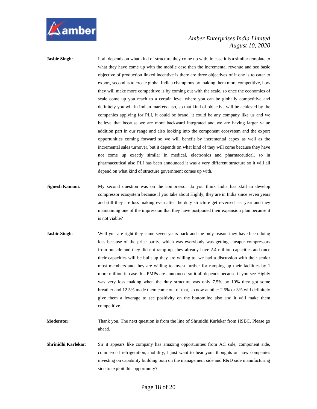

**Jasbir Singh:** It all depends on what kind of structure they come up with, in case it is a similar template to what they have come up with the mobile case then the incremental revenue and see basic objective of production linked incentive is there are three objectives of it one is to cater to export, second is to create global Indian champions by making them more competitive, how they will make more competitive is by coming out with the scale, so once the economies of scale come up you reach to a certain level where you can be globally competitive and definitely you win in Indian markets also, so that kind of objective will be achieved by the companies applying for PLI, it could be brand, it could be any company like us and we believe that because we are more backward integrated and we are having larger value addition part in our range and also looking into the component ecosystem and the export opportunities coming forward so we will benefit by incremental capex as well as the incremental sales turnover, but it depends on what kind of they will come because they have not come up exactly similar in medical, electronics and pharmaceutical, so in pharmaceutical also PLI has been announced it was a very different structure so it will all depend on what kind of structure government comes up with.

- **Jignesh Kamani:** My second question was on the compressor do you think India has skill to develop compressor ecosystem because if you take about Highly, they are in India since seven years and still they are loss making even after the duty structure get reversed last year and they maintaining one of the impression that they have postponed their expansion plan because it is not viable?
- **Jasbir Singh:** Well you are right they came seven years back and the only reason they have been doing loss because of the price parity, which was everybody was getting cheaper compressors from outside and they did not ramp up, they already have 2.4 million capacities and once their capacities will be built up they are willing to, we had a discussion with their senior most members and they are willing to invest further for ramping up their facilities by 1 more million in case this PMPs are announced so it all depends because if you see Highly was very loss making when the duty structure was only 7.5% by 10% they got some breather and 12.5% made them come out of that, so now another 2.5% or 3% will definitely give them a leverage to see positivity on the bottomline also and it will make them competitive.
- **Moderator**: Thank you. The next question is from the line of Shrinidhi Karlekar from HSBC. Please go ahead.
- **Shrinidhi Karlekar**: Sir it appears like company has amazing opportunities from AC side, component side, commercial refrigeration, mobility, I just want to hear your thoughts on how companies investing on capability building both on the management side and R&D side manufacturing side to exploit this opportunity?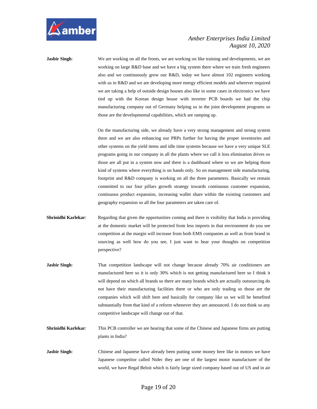

**Jasbir Singh:** We are working on all the fronts, we are working on like training and developments, we are working on large R&D base and we have a big system there where we train fresh engineers also and we continuously grow our R&D, today we have almost 102 engineers working with us in R&D and we are developing more energy efficient models and wherever required we are taking a help of outside design houses also like in some cases in electronics we have tied up with the Korean design house with inverter PCB boards we had the chip manufacturing company out of Germany helping us in the joint development programs so those are the developmental capabilities, which are ramping up.

> On the manufacturing side, we already have a very strong management and strong system there and we are also enhancing our PRPs further for having the proper inventories and other systems on the yield items and idle time systems because we have a very unique SLE programs going in our company in all the plants where we call it loss elimination drives so those are all put in a system now and there is a dashboard where so we are helping those kind of systems where everything is on hands only. So on management side manufacturing, footprint and R&D company is working on all the three parameters. Basically we remain committed to our four pillars growth strategy towards continuous customer expansion, continuous product expansion, increasing wallet share within the existing customers and geography expansion so all the four parameters are taken care of.

- **Shrinidhi Karlekar**: Regarding that given the opportunities coming and there is visibility that India is providing at the domestic market will be protected from less imports in that environment do you see competition at the margin will increase from both EMS companies as well as from brand in sourcing as well how do you see, I just want to hear your thoughts on competition perspective?
- **Jasbir Singh:** That competition landscape will not change because already 70% air conditioners are manufactured here so it is only 30% which is not getting manufactured here so I think it will depend on which all brands so there are many brands which are actually outsourcing do not have their manufacturing facilities there or who are only trading so those are the companies which will shift here and basically for company like us we will be benefited substantially from that kind of a reform whenever they are announced. I do not think so any competitive landscape will change out of that.
- **Shrinidhi Karlekar:** This PCB controller we are hearing that some of the Chinese and Japanese firms are putting plants in India?
- **Jasbir Singh:** Chinese and Japanese have already been putting some money here like in motors we have Japanese competitor called Nidec they are one of the largest motor manufacturer of the world, we have Regal Beloit which is fairly large sized company based out of US and in air